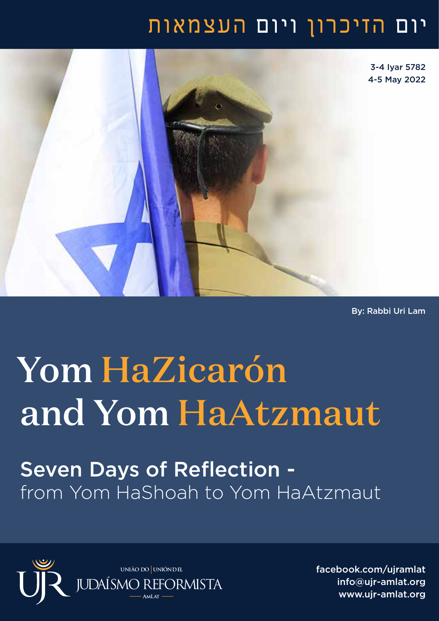## יום הזיכרון ויום העצמאות



By: Rabbi Uri Lam

## Yom HaZicarón and Yom HaAtzmaut

Seven Days of Reflection from Yom HaShoah to Yom HaAtzmaut



facebook.com/ujramlat info@ujr-amlat.org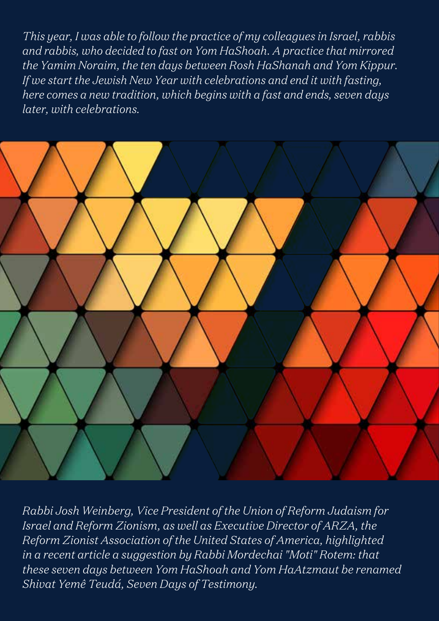*This year, I was able to follow the practice of my colleagues in Israel, rabbis and rabbis, who decided to fast on Yom HaShoah. A practice that mirrored the Yamim Noraim, the ten days between Rosh HaShanah and Yom Kippur. If we start the Jewish New Year with celebrations and end it with fasting, here comes a new tradition, which begins with a fast and ends, seven days later, with celebrations.*



*Rabbi Josh Weinberg, Vice President of the Union of Reform Judaism for Israel and Reform Zionism, as well as Executive Director of ARZA, the Reform Zionist Association of the United States of America, highlighted in a recent article a suggestion by Rabbi Mordechai "Moti" Rotem: that these seven days between Yom HaShoah and Yom HaAtzmaut be renamed Shivat Yemê Teudá, Seven Days of Testimony.*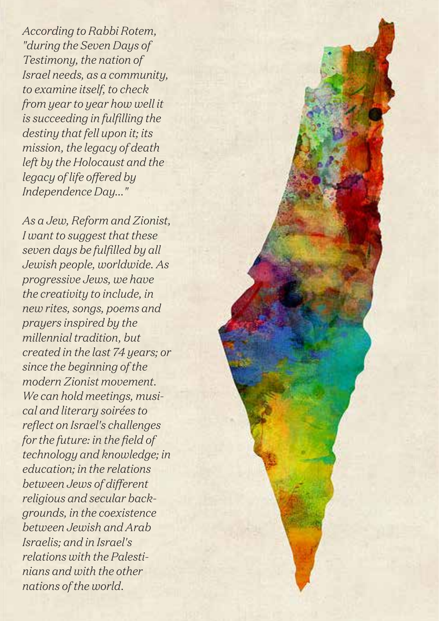*According to Rabbi Rotem, "during the Seven Days of Testimony, the nation of Israel needs, as a community, to examine itself, to check from year to year how well it is succeeding in fulfilling the destiny that fell upon it; its mission, the legacy of death left by the Holocaust and the legacy of life offered by Independence Day..."*

*As a Jew, Reform and Zionist, I want to suggest that these seven days be fulfilled by all Jewish people, worldwide. As progressive Jews, we have the creativity to include, in new rites, songs, poems and prayers inspired by the millennial tradition, but created in the last 74 years; or since the beginning of the modern Zionist movement. We can hold meetings, musical and literary soirées to reflect on Israel's challenges for the future: in the field of technology and knowledge; in education; in the relations between Jews of different religious and secular backgrounds, in the coexistence between Jewish and Arab Israelis; and in Israel's relations with the Palestinians and with the other nations of the world.*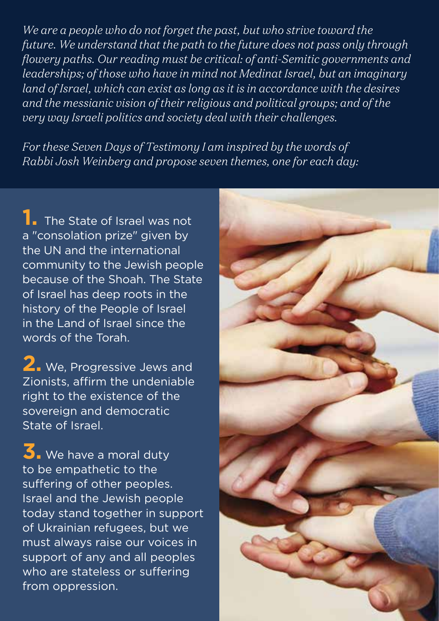*We are a people who do not forget the past, but who strive toward the future. We understand that the path to the future does not pass only through flowery paths. Our reading must be critical: of anti-Semitic governments and leaderships; of those who have in mind not Medinat Israel, but an imaginary land of Israel, which can exist as long as it is in accordance with the desires and the messianic vision of their religious and political groups; and of the very way Israeli politics and society deal with their challenges.*

*For these Seven Days of Testimony I am inspired by the words of Rabbi Josh Weinberg and propose seven themes, one for each day:*

**1.** The State of Israel was not a "consolation prize" given by the UN and the international community to the Jewish people because of the Shoah. The State of Israel has deep roots in the history of the People of Israel in the Land of Israel since the words of the Torah.

**2.** We, Progressive Jews and Zionists, affirm the undeniable right to the existence of the sovereign and democratic State of Israel.

**3.** We have a moral duty to be empathetic to the suffering of other peoples. Israel and the Jewish people today stand together in support of Ukrainian refugees, but we must always raise our voices in support of any and all peoples who are stateless or suffering from oppression.